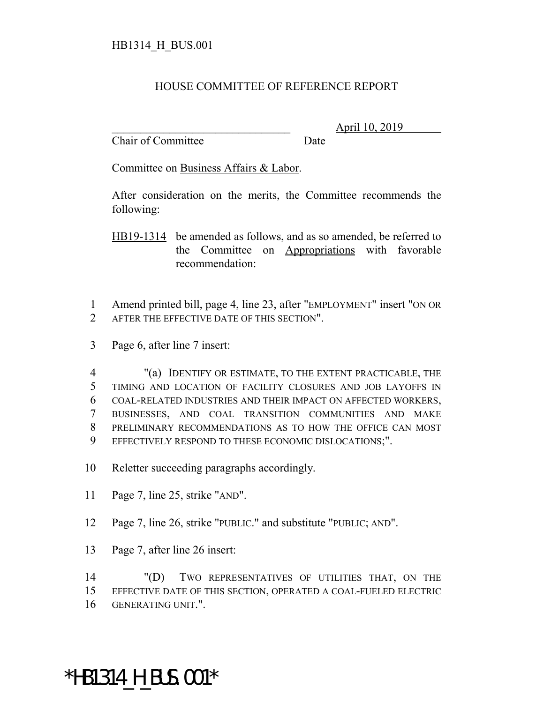## HOUSE COMMITTEE OF REFERENCE REPORT

Chair of Committee Date

\_\_\_\_\_\_\_\_\_\_\_\_\_\_\_\_\_\_\_\_\_\_\_\_\_\_\_\_\_\_\_ April 10, 2019

Committee on Business Affairs & Labor.

After consideration on the merits, the Committee recommends the following:

HB19-1314 be amended as follows, and as so amended, be referred to the Committee on Appropriations with favorable recommendation:

1 Amend printed bill, page 4, line 23, after "EMPLOYMENT" insert "ON OR 2 AFTER THE EFFECTIVE DATE OF THIS SECTION".

3 Page 6, after line 7 insert:

 "(a) IDENTIFY OR ESTIMATE, TO THE EXTENT PRACTICABLE, THE TIMING AND LOCATION OF FACILITY CLOSURES AND JOB LAYOFFS IN COAL-RELATED INDUSTRIES AND THEIR IMPACT ON AFFECTED WORKERS, BUSINESSES, AND COAL TRANSITION COMMUNITIES AND MAKE PRELIMINARY RECOMMENDATIONS AS TO HOW THE OFFICE CAN MOST EFFECTIVELY RESPOND TO THESE ECONOMIC DISLOCATIONS;".

10 Reletter succeeding paragraphs accordingly.

- 11 Page 7, line 25, strike "AND".
- 12 Page 7, line 26, strike "PUBLIC." and substitute "PUBLIC; AND".
- 13 Page 7, after line 26 insert:

14 "(D) TWO REPRESENTATIVES OF UTILITIES THAT, ON THE 15 EFFECTIVE DATE OF THIS SECTION, OPERATED A COAL-FUELED ELECTRIC 16 GENERATING UNIT.".

## \*HB1314\_H\_BUS.001\*